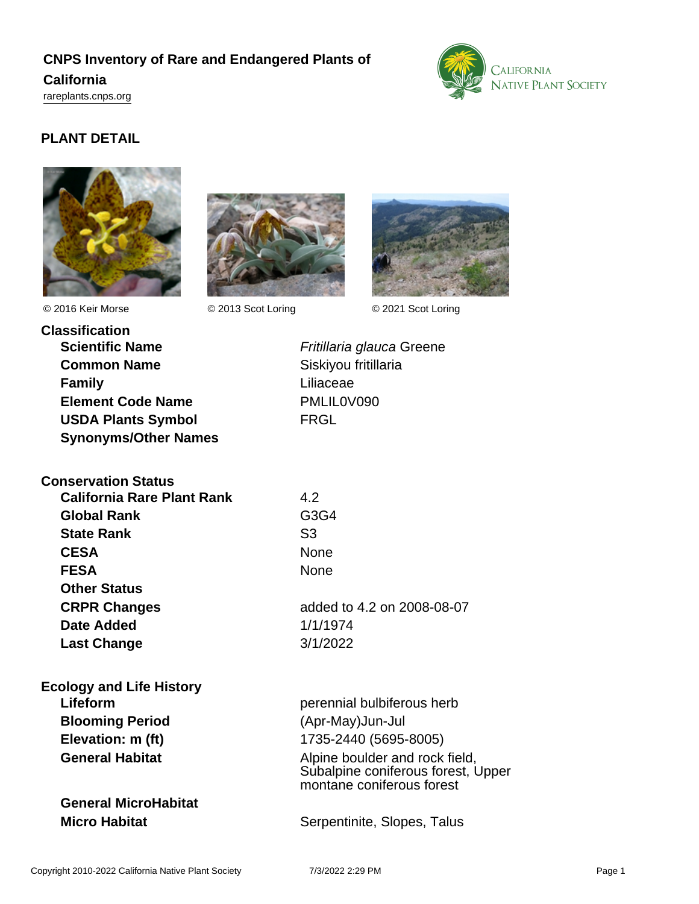# **CNPS Inventory of Rare and Endangered Plants of California**

<rareplants.cnps.org>



## **PLANT DETAIL**







© 2016 Keir Morse © 2013 Scot Loring © 2021 Scot Loring

| <b>Classification</b>       |
|-----------------------------|
| <b>Scientific Name</b>      |
| <b>Common Name</b>          |
| <b>Family</b>               |
| <b>Element Code Name</b>    |
| <b>USDA Plants Symbol</b>   |
| <b>Synonyms/Other Names</b> |

**Fritillaria glauca Greene Siskiyou fritillaria** Liliaceae **Element Code Name** PMLIL0V090 **FRGL** 

| <b>Conservation Status</b> |                |
|----------------------------|----------------|
| California Rare Plant Rank | 4.2            |
| <b>Global Rank</b>         | G3             |
| <b>State Rank</b>          | S <sub>3</sub> |
| <b>CESA</b>                | No             |
| <b>FESA</b>                | Noi            |
| <b>Other Status</b>        |                |
| <b>CRPR Changes</b>        | ado            |
| Date Added                 | 1/1            |
| <b>Last Change</b>         | 3/1            |

| <b>Ecology and Life History</b> |
|---------------------------------|
| Lifeform                        |
| <b>Blooming Period</b>          |
| Elevation: m (ft)               |
| <b>General Habitat</b>          |

**General MicroHabitat**

**Global Rank** G3G4 **CESA** None **FESA** None

**CRPR Changes** added to 4.2 on 2008-08-07 **Date Added** 1/1/1974 **Last Change** 3/1/2022

perennial bulbiferous herb **Blooming Period** (Apr-May)Jun-Jul **Elevation: m (ft)** 1735-2440 (5695-8005) **General Habitat Alpine boulder and rock field,** Subalpine coniferous forest, Upper montane coniferous forest

**Micro Habitat** Serpentinite, Slopes, Talus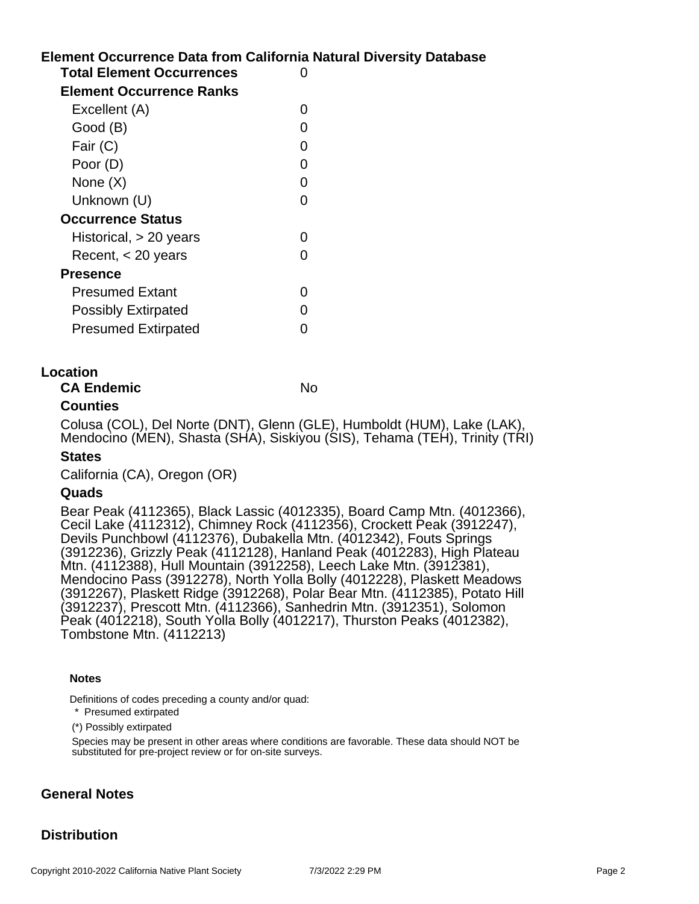# **Element Occurrence Data from California Natural Diversity Database Total Element Occurrences** 0

| <b>Element Occurrence Ranks</b> |  |
|---------------------------------|--|
| Excellent (A)                   |  |
| Good (B)                        |  |
| Fair (C)                        |  |
| Poor (D)                        |  |
| None $(X)$                      |  |
| Unknown (U)                     |  |
| <b>Occurrence Status</b>        |  |
| Historical, $> 20$ years        |  |
| Recent, $<$ 20 years            |  |
| Presence                        |  |
| <b>Presumed Extant</b>          |  |
| <b>Possibly Extirpated</b>      |  |
| <b>Presumed Extirpated</b>      |  |

### **Location**

**CA Endemic** No

### **Counties**

Colusa (COL), Del Norte (DNT), Glenn (GLE), Humboldt (HUM), Lake (LAK), Mendocino (MEN), Shasta (SHA), Siskiyou (SIS), Tehama (TEH), Trinity (TRI)

### **States**

California (CA), Oregon (OR)

### **Quads**

Bear Peak (4112365), Black Lassic (4012335), Board Camp Mtn. (4012366), Cecil Lake (4112312), Chimney Rock (4112356), Crockett Peak (3912247), Devils Punchbowl (4112376), Dubakella Mtn. (4012342), Fouts Springs (3912236), Grizzly Peak (4112128), Hanland Peak (4012283), High Plateau Mtn. (4112388), Hull Mountain (3912258), Leech Lake Mtn. (3912381), Mendocino Pass (3912278), North Yolla Bolly (4012228), Plaskett Meadows (3912267), Plaskett Ridge (3912268), Polar Bear Mtn. (4112385), Potato Hill (3912237), Prescott Mtn. (4112366), Sanhedrin Mtn. (3912351), Solomon Peak (4012218), South Yolla Bolly (4012217), Thurston Peaks (4012382), Tombstone Mtn. (4112213)

#### **Notes**

Definitions of codes preceding a county and/or quad:

\* Presumed extirpated

(\*) Possibly extirpated

Species may be present in other areas where conditions are favorable. These data should NOT be substituted for pre-project review or for on-site surveys.

### **General Notes**

### **Distribution**